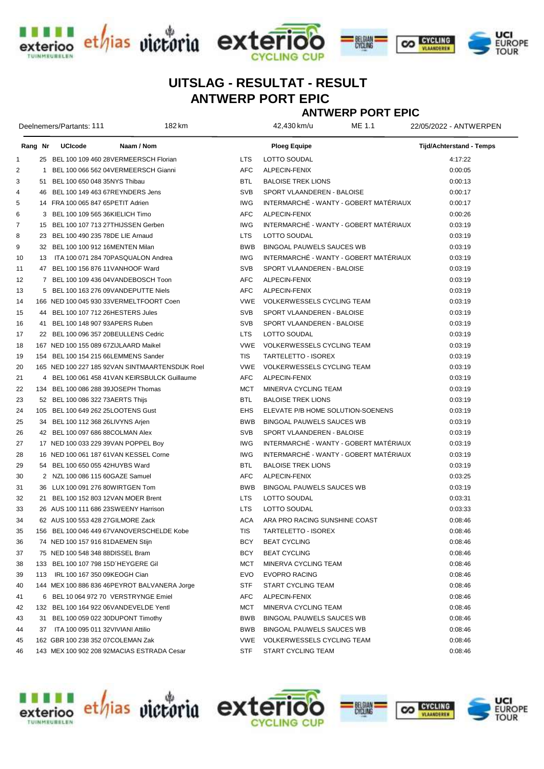





## ANTWERP PORT EPIC UITSLAG - RESULTAT - RESULT

ANTWERP PORT EPIC

| Deelnemers/Partants: 111 |  |                                                 | 182 km |            | 42,430 km/u                       | ME 1.1                                 | 22/05/2022 - ANTWERPEN   |
|--------------------------|--|-------------------------------------------------|--------|------------|-----------------------------------|----------------------------------------|--------------------------|
| Rang Nr                  |  | <b>UCIcode</b><br>Naam / Nom                    |        |            | Ploeg Equipe                      |                                        | Tijd/Achterstand - Temps |
| $\mathbf{1}$             |  | 25 BEL 100 109 460 28VERMEERSCH Florian         |        | <b>LTS</b> | LOTTO SOUDAL                      |                                        | 4:17:22                  |
| $\overline{2}$           |  | 1 BEL 100 066 562 04VERMEERSCH Gianni           |        | <b>AFC</b> | ALPECIN-FENIX                     |                                        | 0:00:05                  |
| 3                        |  | 51 BEL 100 650 048 35NYS Thibau                 |        | BTL        | <b>BALOISE TREK LIONS</b>         |                                        | 0:00:13                  |
| 4                        |  | 46 BEL 100 149 463 67REYNDERS Jens              |        | <b>SVB</b> | SPORT VLAANDEREN - BALOISE        |                                        | 0:00:17                  |
| 5                        |  | 14 FRA 100 065 847 65 PETIT Adrien              |        | <b>IWG</b> |                                   | INTERMARCHÉ - WANTY - GOBERT MATÉRIAUX | 0:00:17                  |
| 6                        |  | 3 BEL 100 109 565 36KIELICH Timo                |        | <b>AFC</b> | ALPECIN-FENIX                     |                                        | 0:00:26                  |
| $\overline{7}$           |  | 15 BEL 100 107 713 27THIJSSEN Gerben            |        | <b>IWG</b> |                                   | INTERMARCHÉ - WANTY - GOBERT MATÉRIAUX | 0:03:19                  |
| 8                        |  | 23 BEL 100 490 235 78DE LIE Arnaud              |        | <b>LTS</b> | LOTTO SOUDAL                      |                                        | 0:03:19                  |
| 9                        |  | 32 BEL 100 100 912 16MENTEN Milan               |        | <b>BWB</b> | BINGOAL PAUWELS SAUCES WB         |                                        | 0:03:19                  |
| 10                       |  | 13 ITA 100 071 284 70PASQUALON Andrea           |        | <b>IWG</b> |                                   | INTERMARCHÉ - WANTY - GOBERT MATÉRIAUX | 0:03:19                  |
| 11                       |  | 47 BEL 100 156 876 11 VANHOOF Ward              |        | <b>SVB</b> | SPORT VLAANDEREN - BALOISE        |                                        | 0:03:19                  |
| 12                       |  | 7 BEL 100 109 436 04 VANDEBOSCH Toon            |        | AFC        | ALPECIN-FENIX                     |                                        | 0:03:19                  |
| 13                       |  | 5 BEL 100 163 276 09VANDEPUTTE Niels            |        | <b>AFC</b> | ALPECIN-FENIX                     |                                        | 0:03:19                  |
| 14                       |  | 166 NED 100 045 930 33VERMELTFOORT Coen         |        | <b>VWE</b> | VOLKERWESSELS CYCLING TEAM        |                                        | 0:03:19                  |
| 15                       |  | 44 BEL 100 107 712 26HESTERS Jules              |        | <b>SVB</b> | SPORT VLAANDEREN - BALOISE        |                                        | 0:03:19                  |
| 16                       |  | 41 BEL 100 148 907 93APERS Ruben                |        | <b>SVB</b> | SPORT VLAANDEREN - BALOISE        |                                        | 0:03:19                  |
| 17                       |  | 22 BEL 100 096 357 20BEULLENS Cedric            |        | <b>LTS</b> | LOTTO SOUDAL                      |                                        | 0:03:19                  |
| 18                       |  | 167 NED 100 155 089 67ZIJLAARD Maikel           |        | VWE        | VOLKERWESSELS CYCLING TEAM        |                                        | 0:03:19                  |
| 19                       |  | 154 BEL 100 154 215 66LEMMENS Sander            |        | <b>TIS</b> | TARTELETTO - ISOREX               |                                        | 0:03:19                  |
| 20                       |  | 165 NED 100 227 185 92VAN SINTMAARTENSDIJK Roel |        | VWE        | VOLKERWESSELS CYCLING TEAM        |                                        | 0:03:19                  |
| 21                       |  | 4 BEL 100 061 458 41 VAN KEIRSBULCK Guillaume   |        | <b>AFC</b> | ALPECIN-FENIX                     |                                        | 0:03:19                  |
| 22                       |  | 134 BEL 100 086 288 39JOSEPH Thomas             |        | <b>MCT</b> | MINERVA CYCLING TEAM              |                                        | 0:03:19                  |
| 23                       |  | 52 BEL 100 086 322 73AERTS Thijs                |        | <b>BTL</b> | <b>BALOISE TREK LIONS</b>         |                                        | 0:03:19                  |
| 24                       |  | 105 BEL 100 649 262 25LOOTENS Gust              |        | <b>EHS</b> | ELEVATE P/B HOME SOLUTION-SOENENS |                                        | 0:03:19                  |
| 25                       |  | 34 BEL 100 112 368 26LIVYNS Arjen               |        | <b>BWB</b> | <b>BINGOAL PAUWELS SAUCES WB</b>  |                                        | 0:03:19                  |
| 26                       |  | 42 BEL 100 097 686 88COLMAN Alex                |        | <b>SVB</b> | SPORT VLAANDEREN - BALOISE        |                                        | 0:03:19                  |
| 27                       |  | 17 NED 100 033 229 39VAN POPPEL Boy             |        | <b>IWG</b> |                                   | INTERMARCHÉ - WANTY - GOBERT MATÉRIAUX | 0:03:19                  |
| 28                       |  | 16 NED 100 061 187 61 VAN KESSEL Corne          |        | <b>IWG</b> |                                   | INTERMARCHÉ - WANTY - GOBERT MATÉRIAUX | 0:03:19                  |
| 29                       |  | 54 BEL 100 650 055 42HUYBS Ward                 |        | <b>BTL</b> | <b>BALOISE TREK LIONS</b>         |                                        | 0:03:19                  |
| 30                       |  | 2 NZL 100 086 115 60GAZE Samuel                 |        | <b>AFC</b> | ALPECIN-FENIX                     |                                        | 0:03:25                  |
| 31                       |  | 36 LUX 100 091 276 80WIRTGEN Tom                |        | <b>BWB</b> | <b>BINGOAL PAUWELS SAUCES WB</b>  |                                        | 0:03:19                  |
| 32                       |  | 21 BEL 100 152 803 12VAN MOER Brent             |        | LTS.       | LOTTO SOUDAL                      |                                        | 0:03:31                  |
| 33                       |  | 26 AUS 100 111 686 23SWEENY Harrison            |        | <b>LTS</b> | <b>LOTTO SOUDAL</b>               |                                        | 0:03:33                  |
| 34                       |  | 62 AUS 100 553 428 27GILMORE Zack               |        | <b>ACA</b> | ARA PRO RACING SUNSHINE COAST     |                                        | 0:08:46                  |
| 35                       |  | 156 BEL 100 046 449 67VANOVERSCHELDE Kobe       |        | <b>TIS</b> | TARTELETTO - ISOREX               |                                        | 0:08:46                  |
| 36                       |  | 74 NED 100 157 916 81DAEMEN Stijn               |        | BCY        | <b>BEAT CYCLING</b>               |                                        | 0:08:46                  |
| 37                       |  | 75 NED 100 548 348 88DISSEL Bram                |        | BCY        | <b>BEAT CYCLING</b>               |                                        | 0:08:46                  |
| 38                       |  | 133 BEL 100 107 798 15D'HEYGERE Gil             |        | MCT        | MINERVA CYCLING TEAM              |                                        | 0:08:46                  |
| 39                       |  | 113 IRL 100 167 350 09KEOGH Cian                |        | EVO        | <b>EVOPRO RACING</b>              |                                        | 0:08:46                  |
| 40                       |  | 144 MEX 100 886 836 46PEYROT BALVANERA Jorge    |        | STF        | START CYCLING TEAM                |                                        | 0:08:46                  |
| 41                       |  | 6 BEL 10 064 972 70 VERSTRYNGE Emiel            |        | AFC        | ALPECIN-FENIX                     |                                        | 0:08:46                  |
| 42                       |  | 132 BEL 100 164 922 06VANDEVELDE Yentl          |        | MCT        | MINERVA CYCLING TEAM              |                                        | 0:08:46                  |
| 43                       |  | 31 BEL 100 059 022 30DUPONT Timothy             |        | BWB        | BINGOAL PAUWELS SAUCES WB         |                                        | 0:08:46                  |
| 44                       |  | 37 ITA 100 095 011 32 VIVIANI Attilio           |        | BWB        | BINGOAL PAUWELS SAUCES WB         |                                        | 0:08:46                  |
| 45                       |  | 162 GBR 100 238 352 07 COLEMAN Zak              |        | VWE        | <b>VOLKERWESSELS CYCLING TEAM</b> |                                        | 0:08:46                  |
| 46                       |  | 143 MEX 100 902 208 92MACIAS ESTRADA Cesar      |        | <b>STF</b> | START CYCLING TEAM                |                                        | 0:08:46                  |

**UINMELBELEN**